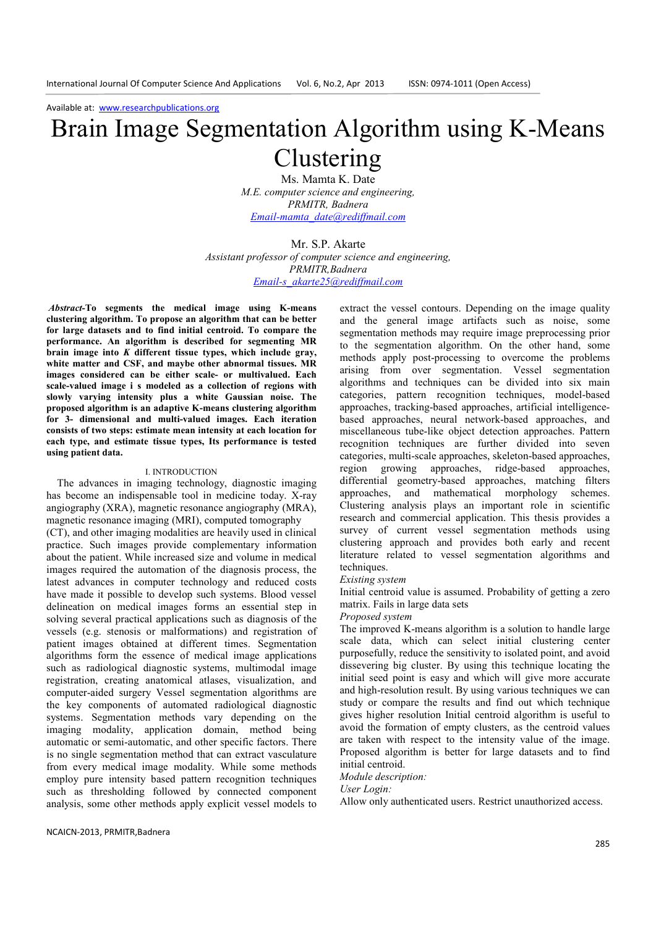# Brain Image Segmentation Algorithm using K-Means Clustering

Ms. Mamta K. Date *M.E. computer science and engineering, PRMITR, Badnera Email-mamta\_date@rediffmail.com*

Mr. S.P. Akarte *Assistant professor of computer science and engineering, PRMITR,Badnera Email-s\_akarte25@rediffmail.com*

*Abstract-***To segments the medical image using K-means clustering algorithm. To propose an algorithm that can be better for large datasets and to find initial centroid. To compare the performance. An algorithm is described for segmenting MR brain image into** *K* **different tissue types, which include gray, white matter and CSF, and maybe other abnormal tissues. MR images considered can be either scale- or multivalued. Each scale-valued image i s modeled as a collection of regions with slowly varying intensity plus a white Gaussian noise. The proposed algorithm is an adaptive K-means clustering algorithm for 3- dimensional and multi-valued images. Each iteration consists of two steps: estimate mean intensity at each location for each type, and estimate tissue types, Its performance is tested using patient data.**

#### I. INTRODUCTION

 The advances in imaging technology, diagnostic imaging has become an indispensable tool in medicine today. X-ray angiography (XRA), magnetic resonance angiography (MRA), magnetic resonance imaging (MRI), computed tomography (CT), and other imaging modalities are heavily used in clinical practice. Such images provide complementary information about the patient. While increased size and volume in medical images required the automation of the diagnosis process, the latest advances in computer technology and reduced costs have made it possible to develop such systems. Blood vessel delineation on medical images forms an essential step in solving several practical applications such as diagnosis of the vessels (e.g. stenosis or malformations) and registration of patient images obtained at different times. Segmentation algorithms form the essence of medical image applications such as radiological diagnostic systems, multimodal image registration, creating anatomical atlases, visualization, and computer-aided surgery Vessel segmentation algorithms are the key components of automated radiological diagnostic systems. Segmentation methods vary depending on the imaging modality, application domain, method being automatic or semi-automatic, and other specific factors. There is no single segmentation method that can extract vasculature from every medical image modality. While some methods employ pure intensity based pattern recognition techniques such as thresholding followed by connected component analysis, some other methods apply explicit vessel models to

extract the vessel contours. Depending on the image quality and the general image artifacts such as noise, some segmentation methods may require image preprocessing prior to the segmentation algorithm. On the other hand, some methods apply post-processing to overcome the problems arising from over segmentation. Vessel segmentation algorithms and techniques can be divided into six main categories, pattern recognition techniques, model-based approaches, tracking-based approaches, artificial intelligencebased approaches, neural network-based approaches, and miscellaneous tube-like object detection approaches. Pattern recognition techniques are further divided into seven categories, multi-scale approaches, skeleton-based approaches, region growing approaches, ridge-based approaches, differential geometry-based approaches, matching filters approaches, and mathematical morphology schemes. Clustering analysis plays an important role in scientific research and commercial application. This thesis provides a survey of current vessel segmentation methods using clustering approach and provides both early and recent literature related to vessel segmentation algorithms and techniques.

#### *Existing system*

Initial centroid value is assumed. Probability of getting a zero matrix. Fails in large data sets

#### *Proposed system*

The improved K-means algorithm is a solution to handle large scale data, which can select initial clustering center purposefully, reduce the sensitivity to isolated point, and avoid dissevering big cluster. By using this technique locating the initial seed point is easy and which will give more accurate and high-resolution result. By using various techniques we can study or compare the results and find out which technique gives higher resolution Initial centroid algorithm is useful to avoid the formation of empty clusters, as the centroid values are taken with respect to the intensity value of the image. Proposed algorithm is better for large datasets and to find initial centroid.

# *Module description:*

*User Login:* 

Allow only authenticated users. Restrict unauthorized access.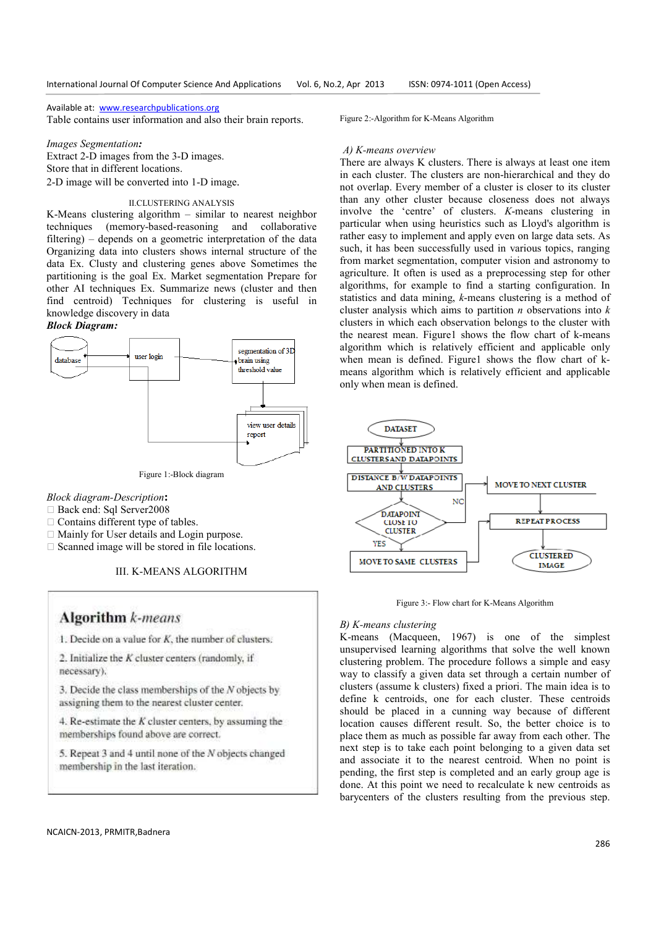Table contains user information and also their brain reports.

*Images Segmentation:*  Extract 2-D images from the 3-D images. Store that in different locations. 2-D image will be converted into 1-D image.

#### II.CLUSTERING ANALYSIS

K-Means clustering algorithm – similar to nearest neighbor techniques (memory-based-reasoning and collaborative filtering) – depends on a geometric interpretation of the data Organizing data into clusters shows internal structure of the data Ex. Clusty and clustering genes above Sometimes the partitioning is the goal Ex. Market segmentation Prepare for other AI techniques Ex. Summarize news (cluster and then find centroid) Techniques for clustering is useful in knowledge discovery in data

# *Block Diagram:*



Figure 1:-Block diagram

### *Block diagram-Description***:**

- □ Back end: Sql Server2008
- $\Box$  Contains different type of tables.
- $\Box$  Mainly for User details and Login purpose.
- $\square$  Scanned image will be stored in file locations.

#### III. K-MEANS ALGORITHM

# **Algorithm** k-means

1. Decide on a value for  $K$ , the number of clusters.

2. Initialize the  $K$  cluster centers (randomly, if necessary).

3. Decide the class memberships of the  $N$  objects by assigning them to the nearest cluster center.

4. Re-estimate the  $K$  cluster centers, by assuming the memberships found above are correct.

5. Repeat 3 and 4 until none of the N objects changed membership in the last iteration.

Figure 2:-Algorithm for K-Means Algorithm

### *A) K-means overview*

There are always K clusters. There is always at least one item in each cluster. The clusters are non-hierarchical and they do not overlap. Every member of a cluster is closer to its cluster than any other cluster because closeness does not always involve the 'centre' of clusters. *K*-means clustering in particular when using heuristics such as Lloyd's algorithm is rather easy to implement and apply even on large data sets. As such, it has been successfully used in various topics, ranging from market segmentation, computer vision and astronomy to agriculture. It often is used as a preprocessing step for other algorithms, for example to find a starting configuration. In statistics and data mining, *k*-means clustering is a method of cluster analysis which aims to partition *n* observations into *k*  clusters in which each observation belongs to the cluster with the nearest mean. Figure1 shows the flow chart of k-means algorithm which is relatively efficient and applicable only when mean is defined. Figure1 shows the flow chart of kmeans algorithm which is relatively efficient and applicable only when mean is defined.



Figure 3:- Flow chart for K-Means Algorithm

#### *B) K-means clustering*

K-means (Macqueen, 1967) is one of the simplest unsupervised learning algorithms that solve the well known clustering problem. The procedure follows a simple and easy way to classify a given data set through a certain number of clusters (assume k clusters) fixed a priori. The main idea is to define k centroids, one for each cluster. These centroids should be placed in a cunning way because of different location causes different result. So, the better choice is to place them as much as possible far away from each other. The next step is to take each point belonging to a given data set and associate it to the nearest centroid. When no point is pending, the first step is completed and an early group age is done. At this point we need to recalculate k new centroids as barycenters of the clusters resulting from the previous step.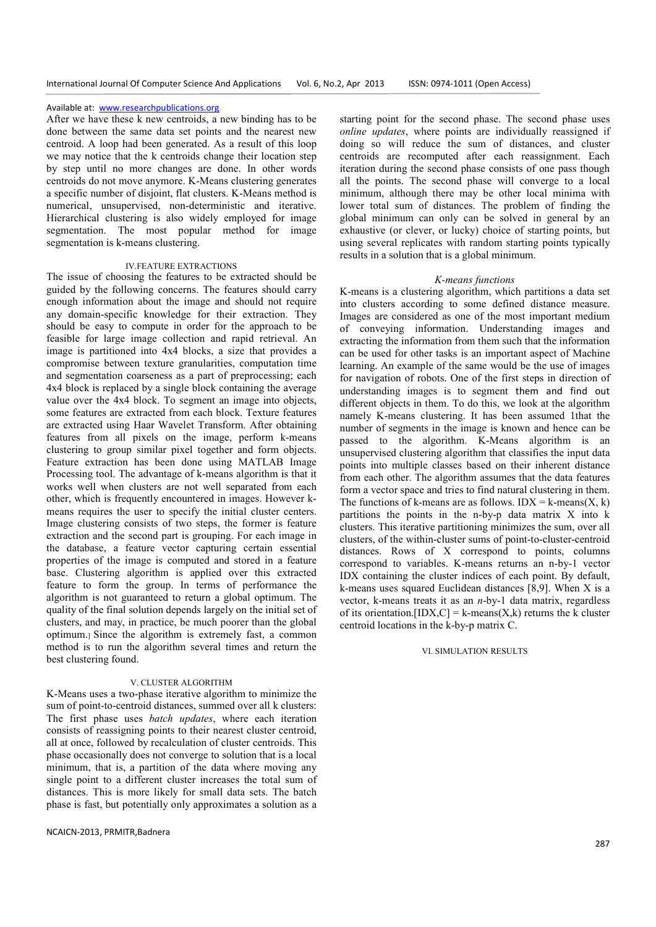After we have these k new centroids, a new binding has to be done between the same data set points and the nearest new centroid. A loop had been generated. As a result of this loop we may notice that the k centroids change their location step by step until no more changes are done. In other words centroids do not move anymore. K-Means clustering generates a specific number of disjoint, flat clusters. K-Means method is numerical, unsupervised, non-deterministic and iterative. Hierarchical clustering is also widely employed for image segmentation. The most popular method for image segmentation is k-means clustering.

#### IV.FEATURE EXTRACTIONS

The issue of choosing the features to be extracted should be guided by the following concerns. The features should carry enough information about the image and should not require any domain-specific knowledge for their extraction. They should be easy to compute in order for the approach to be feasible for large image collection and rapid retrieval. An image is partitioned into 4x4 blocks, a size that provides a compromise between texture granularities, computation time and segmentation coarseness as a part of preprocessing; each 4x4 block is replaced by a single block containing the average value over the 4x4 block. To segment an image into objects, some features are extracted from each block. Texture features are extracted using Haar Wavelet Transform. After obtaining features from all pixels on the image, perform k-means clustering to group similar pixel together and form objects. Feature extraction has been done using MATLAB Image Processing tool. The advantage of k-means algorithm is that it works well when clusters are not well separated from each other, which is frequently encountered in images. However kmeans requires the user to specify the initial cluster centers. Image clustering consists of two steps, the former is feature extraction and the second part is grouping. For each image in the database, a feature vector capturing certain essential properties of the image is computed and stored in a feature base. Clustering algorithm is applied over this extracted feature to form the group. In terms of performance the algorithm is not guaranteed to return a global optimum. The quality of the final solution depends largely on the initial set of clusters, and may, in practice, be much poorer than the global optimum.] Since the algorithm is extremely fast, a common method is to run the algorithm several times and return the best clustering found.

## V. CLUSTER ALGORITHM

K-Means uses a two-phase iterative algorithm to minimize the sum of point-to-centroid distances, summed over all k clusters: The first phase uses *batch updates*, where each iteration consists of reassigning points to their nearest cluster centroid, all at once, followed by recalculation of cluster centroids. This phase occasionally does not converge to solution that is a local minimum, that is, a partition of the data where moving any single point to a different cluster increases the total sum of distances. This is more likely for small data sets. The batch phase is fast, but potentially only approximates a solution as a

starting point for the second phase. The second phase uses *online updates*, where points are individually reassigned if doing so will reduce the sum of distances, and cluster centroids are recomputed after each reassignment. Each iteration during the second phase consists of one pass though all the points. The second phase will converge to a local minimum, although there may be other local minima with lower total sum of distances. The problem of finding the global minimum can only can be solved in general by an exhaustive (or clever, or lucky) choice of starting points, but using several replicates with random starting points typically results in a solution that is a global minimum.

#### *K-means functions*

K-means is a clustering algorithm, which partitions a data set into clusters according to some defined distance measure. Images are considered as one of the most important medium of conveying information. Understanding images and extracting the information from them such that the information can be used for other tasks is an important aspect of Machine learning. An example of the same would be the use of images for navigation of robots. One of the first steps in direction of understanding images is to segment them and find out different objects in them. To do this, we look at the algorithm namely K-means clustering. It has been assumed 1that the number of segments in the image is known and hence can be passed to the algorithm. K-Means algorithm is an unsupervised clustering algorithm that classifies the input data points into multiple classes based on their inherent distance from each other. The algorithm assumes that the data features form a vector space and tries to find natural clustering in them. The functions of k-means are as follows.  $IDX = k$ -means $(X, k)$ partitions the points in the n-by-p data matrix X into k clusters. This iterative partitioning minimizes the sum, over all clusters, of the within-cluster sums of point-to-cluster-centroid distances. Rows of X correspond to points, columns correspond to variables. K-means returns an n-by-1 vector IDX containing the cluster indices of each point. By default, k-means uses squared Euclidean distances [8,9]. When X is a vector, k-means treats it as an *n*-by-1 data matrix, regardless of its orientation.  $[IDX, C] = k-means(X, k)$  returns the k cluster centroid locations in the k-by-p matrix C.

VI. SIMULATION RESULTS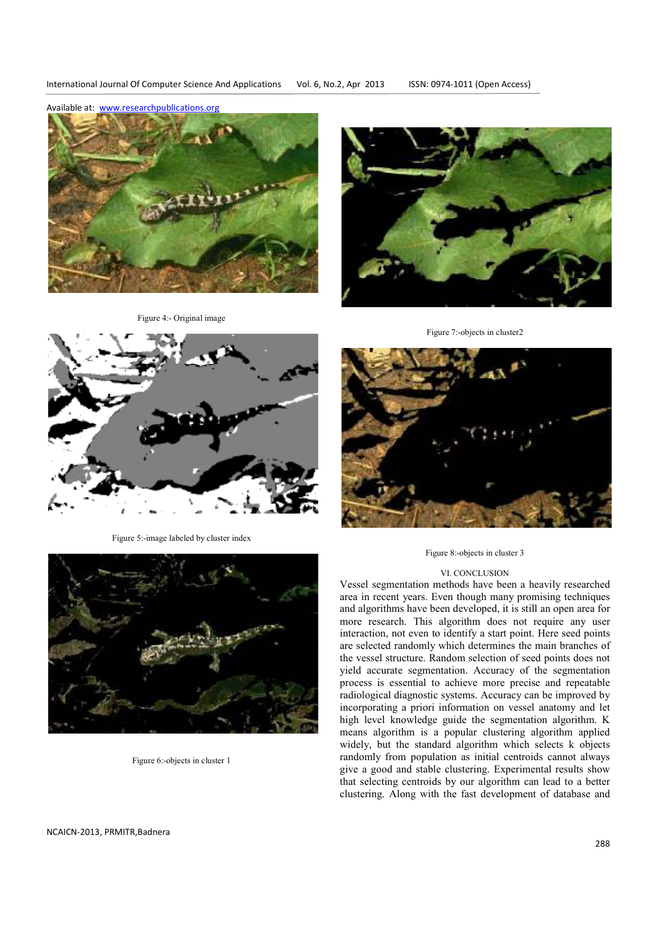

Figure 4:- Original image



Figure 7:-objects in cluster2



Figure 5:-image labeled by cluster index



Figure 6:-objects in cluster 1



Figure 8:-objects in cluster 3

# VI. CONCLUSION

Vessel segmentation methods have been a heavily researched area in recent years. Even though many promising techniques and algorithms have been developed, it is still an open area for more research. This algorithm does not require any user interaction, not even to identify a start point. Here seed points are selected randomly which determines the main branches of the vessel structure. Random selection of seed points does not yield accurate segmentation. Accuracy of the segmentation process is essential to achieve more precise and repeatable radiological diagnostic systems. Accuracy can be improved by incorporating a priori information on vessel anatomy and let high level knowledge guide the segmentation algorithm. K means algorithm is a popular clustering algorithm applied widely, but the standard algorithm which selects k objects randomly from population as initial centroids cannot always give a good and stable clustering. Experimental results show that selecting centroids by our algorithm can lead to a better clustering. Along with the fast development of database and